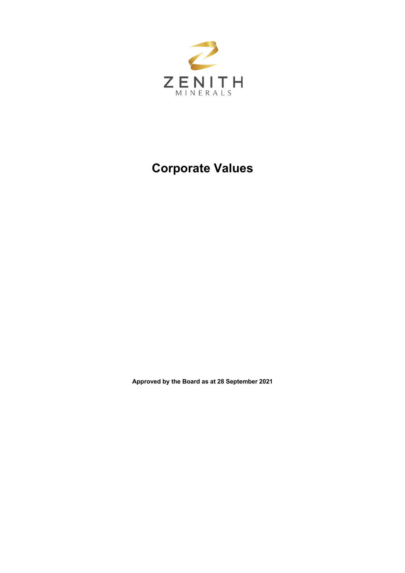

## **Corporate Values**

**Approved by the Board as at 28 September 2021**